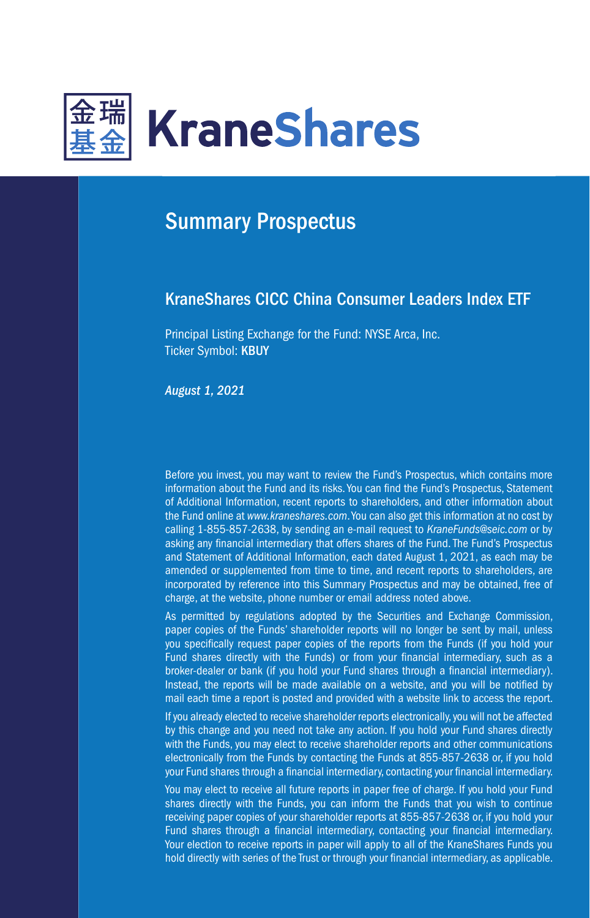

# Summary Prospectus

# KraneShares CICC China Consumer Leaders Index ETF

Principal Listing Exchange for the Fund: NYSE Arca, Inc. Ticker Symbol: KBUY

*August 1, 2021*

Before you invest, you may want to review the Fund's Prospectus, which contains more information about the Fund and its risks. You can find the Fund's Prospectus, Statement of Additional Information, recent reports to shareholders, and other information about the Fund online at *www.kraneshares.com*. You can also get this information at no cost by calling 1-855-857-2638, by sending an e-mail request to *KraneFunds@seic.com* or by asking any financial intermediary that offers shares of the Fund. The Fund's Prospectus and Statement of Additional Information, each dated August 1, 2021, as each may be amended or supplemented from time to time, and recent reports to shareholders, are incorporated by reference into this Summary Prospectus and may be obtained, free of charge, at the website, phone number or email address noted above.

As permitted by regulations adopted by the Securities and Exchange Commission, paper copies of the Funds' shareholder reports will no longer be sent by mail, unless you specifically request paper copies of the reports from the Funds (if you hold your Fund shares directly with the Funds) or from your financial intermediary, such as a broker-dealer or bank (if you hold your Fund shares through a financial intermediary). Instead, the reports will be made available on a website, and you will be notified by mail each time a report is posted and provided with a website link to access the report.

If you already elected to receive shareholder reports electronically, you will not be affected by this change and you need not take any action. If you hold your Fund shares directly with the Funds, you may elect to receive shareholder reports and other communications electronically from the Funds by contacting the Funds at 855-857-2638 or, if you hold your Fund shares through a financial intermediary, contacting your financial intermediary.

You may elect to receive all future reports in paper free of charge. If you hold your Fund shares directly with the Funds, you can inform the Funds that you wish to continue receiving paper copies of your shareholder reports at 855-857-2638 or, if you hold your Fund shares through a financial intermediary, contacting your financial intermediary. Your election to receive reports in paper will apply to all of the KraneShares Funds you hold directly with series of the Trust or through your financial intermediary, as applicable.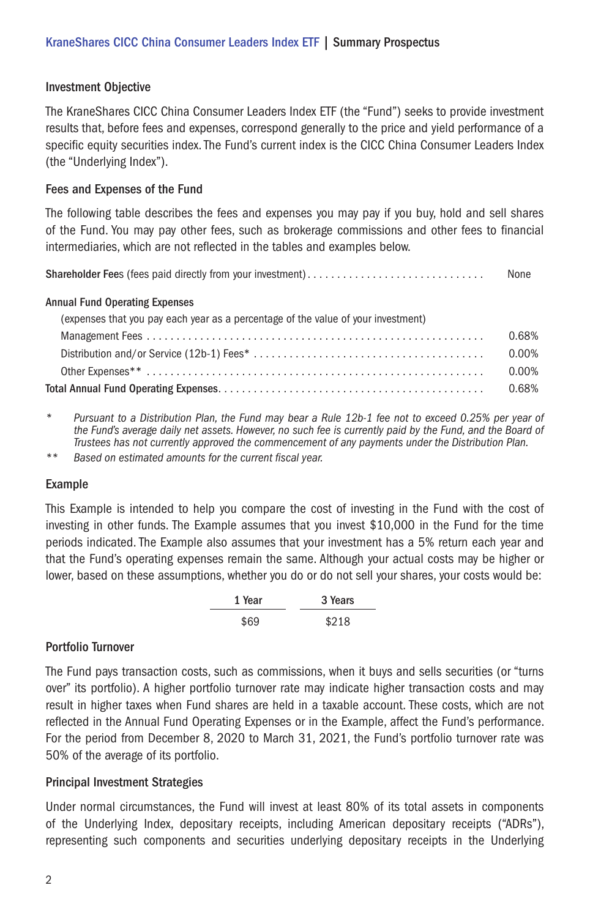#### Investment Objective

The KraneShares CICC China Consumer Leaders Index ETF (the "Fund") seeks to provide investment results that, before fees and expenses, correspond generally to the price and yield performance of a specific equity securities index. The Fund's current index is the CICC China Consumer Leaders Index (the "Underlying Index").

#### Fees and Expenses of the Fund

The following table describes the fees and expenses you may pay if you buy, hold and sell shares of the Fund. You may pay other fees, such as brokerage commissions and other fees to financial intermediaries, which are not reflected in the tables and examples below.

Shareholder Fees (fees paid directly from your investment) . . . . . . . . . . . . . . . . . . . . . . . . . . . . . . None

#### Annual Fund Operating Expenses

| (expenses that you pay each year as a percentage of the value of your investment) |       |
|-----------------------------------------------------------------------------------|-------|
|                                                                                   | 0.68% |
|                                                                                   | 0.00% |
|                                                                                   | 0.00% |
|                                                                                   | 0.68% |

*\* Pursuant to a Distribution Plan, the Fund may bear a Rule 12b-1 fee not to exceed 0.25% per year of the Fund's average daily net assets. However, no such fee is currently paid by the Fund, and the Board of Trustees has not currently approved the commencement of any payments under the Distribution Plan.*

*\*\* Based on estimated amounts for the current fiscal year.*

# Example

This Example is intended to help you compare the cost of investing in the Fund with the cost of investing in other funds. The Example assumes that you invest \$10,000 in the Fund for the time periods indicated. The Example also assumes that your investment has a 5% return each year and that the Fund's operating expenses remain the same. Although your actual costs may be higher or lower, based on these assumptions, whether you do or do not sell your shares, your costs would be:

| 1 Year | 3 Years |
|--------|---------|
| \$69   | \$218   |

#### Portfolio Turnover

The Fund pays transaction costs, such as commissions, when it buys and sells securities (or "turns over" its portfolio). A higher portfolio turnover rate may indicate higher transaction costs and may result in higher taxes when Fund shares are held in a taxable account. These costs, which are not reflected in the Annual Fund Operating Expenses or in the Example, affect the Fund's performance. For the period from December 8, 2020 to March 31, 2021, the Fund's portfolio turnover rate was 50% of the average of its portfolio.

# Principal Investment Strategies

Under normal circumstances, the Fund will invest at least 80% of its total assets in components of the Underlying Index, depositary receipts, including American depositary receipts ("ADRs"), representing such components and securities underlying depositary receipts in the Underlying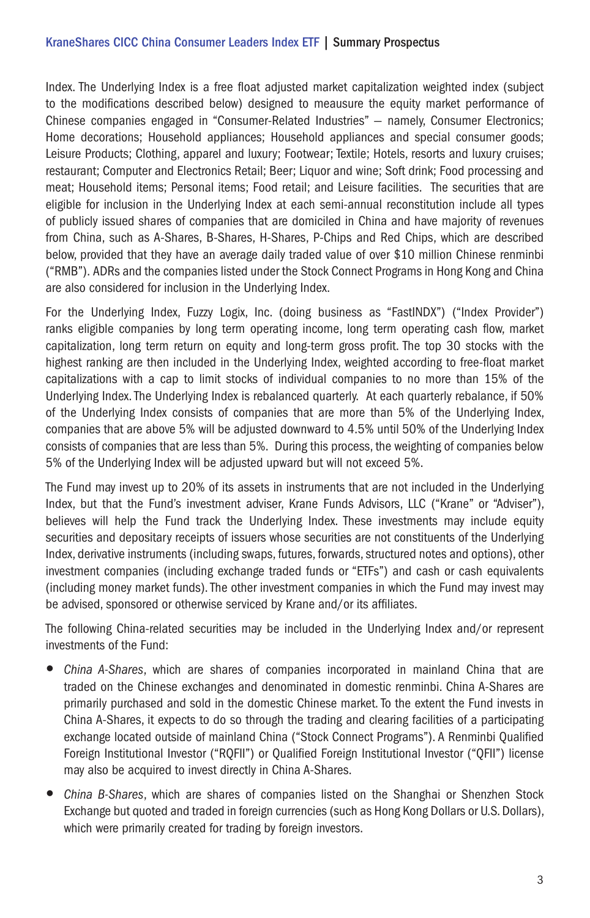# KraneShares CICC China Consumer Leaders Index ETF | Summary Prospectus

Index. The Underlying Index is a free float adjusted market capitalization weighted index (subject to the modifications described below) designed to meausure the equity market performance of Chinese companies engaged in "Consumer-Related Industries" — namely, Consumer Electronics; Home decorations; Household appliances; Household appliances and special consumer goods; Leisure Products; Clothing, apparel and luxury; Footwear; Textile; Hotels, resorts and luxury cruises; restaurant; Computer and Electronics Retail; Beer; Liquor and wine; Soft drink; Food processing and meat; Household items; Personal items; Food retail; and Leisure facilities. The securities that are eligible for inclusion in the Underlying Index at each semi-annual reconstitution include all types of publicly issued shares of companies that are domiciled in China and have majority of revenues from China, such as A-Shares, B-Shares, H-Shares, P-Chips and Red Chips, which are described below, provided that they have an average daily traded value of over \$10 million Chinese renminbi ("RMB"). ADRs and the companies listed under the Stock Connect Programs in Hong Kong and China are also considered for inclusion in the Underlying Index.

For the Underlying Index, Fuzzy Logix, Inc. (doing business as "FastINDX") ("Index Provider") ranks eligible companies by long term operating income, long term operating cash flow, market capitalization, long term return on equity and long-term gross profit. The top 30 stocks with the highest ranking are then included in the Underlying Index, weighted according to free-float market capitalizations with a cap to limit stocks of individual companies to no more than 15% of the Underlying Index. The Underlying Index is rebalanced quarterly. At each quarterly rebalance, if 50% of the Underlying Index consists of companies that are more than 5% of the Underlying Index, companies that are above 5% will be adjusted downward to 4.5% until 50% of the Underlying Index consists of companies that are less than 5%. During this process, the weighting of companies below 5% of the Underlying Index will be adjusted upward but will not exceed 5%.

The Fund may invest up to 20% of its assets in instruments that are not included in the Underlying Index, but that the Fund's investment adviser, Krane Funds Advisors, LLC ("Krane" or "Adviser"), believes will help the Fund track the Underlying Index. These investments may include equity securities and depositary receipts of issuers whose securities are not constituents of the Underlying Index, derivative instruments (including swaps, futures, forwards, structured notes and options), other investment companies (including exchange traded funds or "ETFs") and cash or cash equivalents (including money market funds). The other investment companies in which the Fund may invest may be advised, sponsored or otherwise serviced by Krane and/or its affiliates.

The following China-related securities may be included in the Underlying Index and/or represent investments of the Fund:

- *China A-Shares*, which are shares of companies incorporated in mainland China that are traded on the Chinese exchanges and denominated in domestic renminbi. China A-Shares are primarily purchased and sold in the domestic Chinese market. To the extent the Fund invests in China A-Shares, it expects to do so through the trading and clearing facilities of a participating exchange located outside of mainland China ("Stock Connect Programs"). A Renminbi Qualified Foreign Institutional Investor ("RQFII") or Qualified Foreign Institutional Investor ("QFII") license may also be acquired to invest directly in China A-Shares.
- *China B-Shares*, which are shares of companies listed on the Shanghai or Shenzhen Stock Exchange but quoted and traded in foreign currencies (such as Hong Kong Dollars or U.S. Dollars), which were primarily created for trading by foreign investors.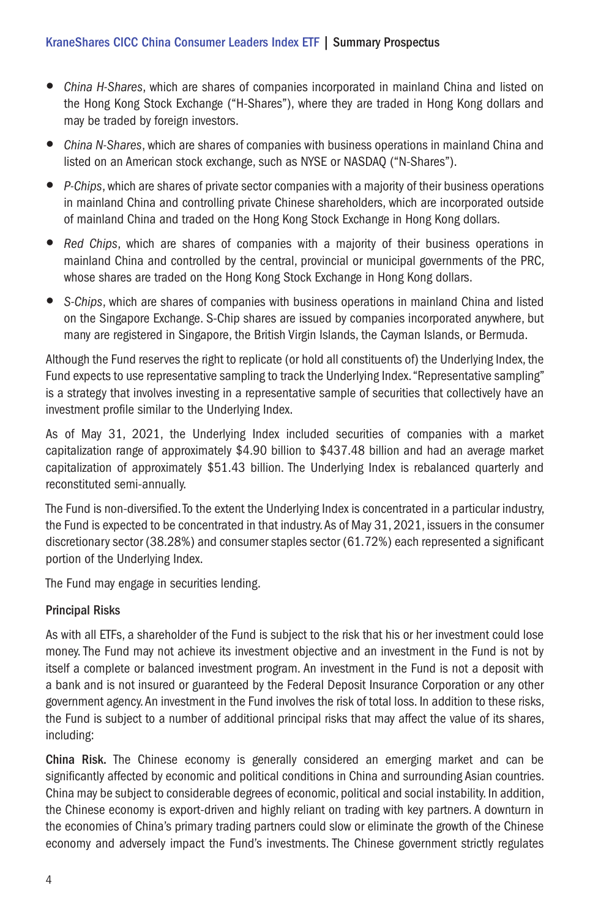- y *China H-Shares*, which are shares of companies incorporated in mainland China and listed on the Hong Kong Stock Exchange ("H-Shares"), where they are traded in Hong Kong dollars and may be traded by foreign investors.
- y *China N-Shares*, which are shares of companies with business operations in mainland China and listed on an American stock exchange, such as NYSE or NASDAQ ("N-Shares").
- *P-Chips*, which are shares of private sector companies with a majority of their business operations in mainland China and controlling private Chinese shareholders, which are incorporated outside of mainland China and traded on the Hong Kong Stock Exchange in Hong Kong dollars.
- *Red Chips*, which are shares of companies with a majority of their business operations in mainland China and controlled by the central, provincial or municipal governments of the PRC, whose shares are traded on the Hong Kong Stock Exchange in Hong Kong dollars.
- S-Chips, which are shares of companies with business operations in mainland China and listed on the Singapore Exchange. S-Chip shares are issued by companies incorporated anywhere, but many are registered in Singapore, the British Virgin Islands, the Cayman Islands, or Bermuda.

Although the Fund reserves the right to replicate (or hold all constituents of) the Underlying Index, the Fund expects to use representative sampling to track the Underlying Index. "Representative sampling" is a strategy that involves investing in a representative sample of securities that collectively have an investment profile similar to the Underlying Index.

As of May 31, 2021, the Underlying Index included securities of companies with a market capitalization range of approximately \$4.90 billion to \$437.48 billion and had an average market capitalization of approximately \$51.43 billion. The Underlying Index is rebalanced quarterly and reconstituted semi-annually.

The Fund is non-diversified. To the extent the Underlying Index is concentrated in a particular industry, the Fund is expected to be concentrated in that industry. As of May 31, 2021, issuers in the consumer discretionary sector (38.28%) and consumer staples sector (61.72%) each represented a significant portion of the Underlying Index.

The Fund may engage in securities lending.

# Principal Risks

As with all ETFs, a shareholder of the Fund is subject to the risk that his or her investment could lose money. The Fund may not achieve its investment objective and an investment in the Fund is not by itself a complete or balanced investment program. An investment in the Fund is not a deposit with a bank and is not insured or guaranteed by the Federal Deposit Insurance Corporation or any other government agency. An investment in the Fund involves the risk of total loss. In addition to these risks, the Fund is subject to a number of additional principal risks that may affect the value of its shares, including:

China Risk. The Chinese economy is generally considered an emerging market and can be significantly affected by economic and political conditions in China and surrounding Asian countries. China may be subject to considerable degrees of economic, political and social instability. In addition, the Chinese economy is export-driven and highly reliant on trading with key partners. A downturn in the economies of China's primary trading partners could slow or eliminate the growth of the Chinese economy and adversely impact the Fund's investments. The Chinese government strictly regulates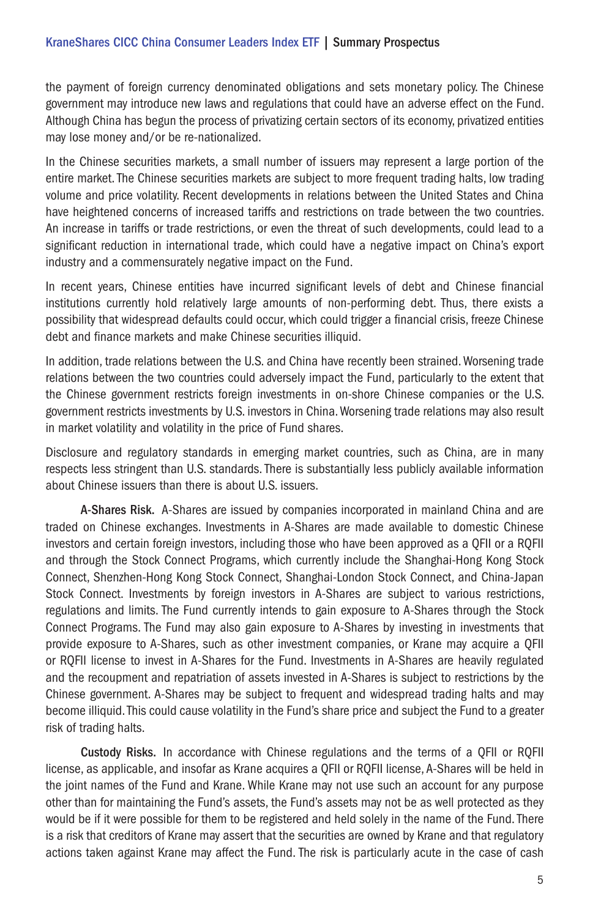the payment of foreign currency denominated obligations and sets monetary policy. The Chinese government may introduce new laws and regulations that could have an adverse effect on the Fund. Although China has begun the process of privatizing certain sectors of its economy, privatized entities may lose money and/or be re-nationalized.

In the Chinese securities markets, a small number of issuers may represent a large portion of the entire market. The Chinese securities markets are subject to more frequent trading halts, low trading volume and price volatility. Recent developments in relations between the United States and China have heightened concerns of increased tariffs and restrictions on trade between the two countries. An increase in tariffs or trade restrictions, or even the threat of such developments, could lead to a significant reduction in international trade, which could have a negative impact on China's export industry and a commensurately negative impact on the Fund.

In recent years, Chinese entities have incurred significant levels of debt and Chinese financial institutions currently hold relatively large amounts of non-performing debt. Thus, there exists a possibility that widespread defaults could occur, which could trigger a financial crisis, freeze Chinese debt and finance markets and make Chinese securities illiquid.

In addition, trade relations between the U.S. and China have recently been strained. Worsening trade relations between the two countries could adversely impact the Fund, particularly to the extent that the Chinese government restricts foreign investments in on-shore Chinese companies or the U.S. government restricts investments by U.S. investors in China. Worsening trade relations may also result in market volatility and volatility in the price of Fund shares.

Disclosure and regulatory standards in emerging market countries, such as China, are in many respects less stringent than U.S. standards. There is substantially less publicly available information about Chinese issuers than there is about U.S. issuers.

A-Shares Risk. A-Shares are issued by companies incorporated in mainland China and are traded on Chinese exchanges. Investments in A-Shares are made available to domestic Chinese investors and certain foreign investors, including those who have been approved as a QFII or a RQFII and through the Stock Connect Programs, which currently include the Shanghai-Hong Kong Stock Connect, Shenzhen-Hong Kong Stock Connect, Shanghai-London Stock Connect, and China-Japan Stock Connect. Investments by foreign investors in A-Shares are subject to various restrictions, regulations and limits. The Fund currently intends to gain exposure to A-Shares through the Stock Connect Programs. The Fund may also gain exposure to A-Shares by investing in investments that provide exposure to A-Shares, such as other investment companies, or Krane may acquire a QFII or RQFII license to invest in A-Shares for the Fund. Investments in A-Shares are heavily regulated and the recoupment and repatriation of assets invested in A-Shares is subject to restrictions by the Chinese government. A-Shares may be subject to frequent and widespread trading halts and may become illiquid. This could cause volatility in the Fund's share price and subject the Fund to a greater risk of trading halts.

Custody Risks. In accordance with Chinese regulations and the terms of a QFII or RQFII license, as applicable, and insofar as Krane acquires a QFII or RQFII license, A-Shares will be held in the joint names of the Fund and Krane. While Krane may not use such an account for any purpose other than for maintaining the Fund's assets, the Fund's assets may not be as well protected as they would be if it were possible for them to be registered and held solely in the name of the Fund. There is a risk that creditors of Krane may assert that the securities are owned by Krane and that regulatory actions taken against Krane may affect the Fund. The risk is particularly acute in the case of cash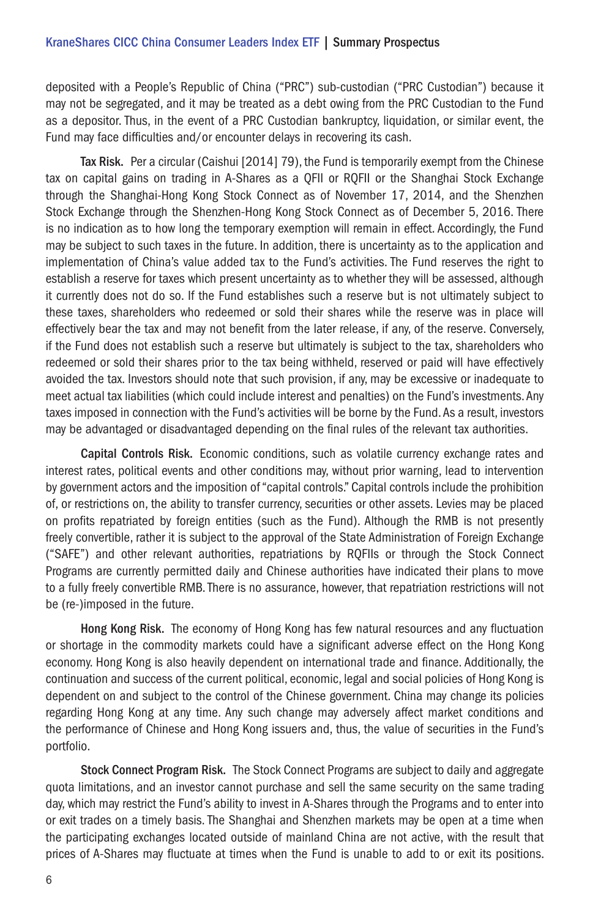deposited with a People's Republic of China ("PRC") sub-custodian ("PRC Custodian") because it may not be segregated, and it may be treated as a debt owing from the PRC Custodian to the Fund as a depositor. Thus, in the event of a PRC Custodian bankruptcy, liquidation, or similar event, the Fund may face difficulties and/or encounter delays in recovering its cash.

Tax Risk. Per a circular (Caishui [2014] 79), the Fund is temporarily exempt from the Chinese tax on capital gains on trading in A-Shares as a QFII or RQFII or the Shanghai Stock Exchange through the Shanghai-Hong Kong Stock Connect as of November 17, 2014, and the Shenzhen Stock Exchange through the Shenzhen-Hong Kong Stock Connect as of December 5, 2016. There is no indication as to how long the temporary exemption will remain in effect. Accordingly, the Fund may be subject to such taxes in the future. In addition, there is uncertainty as to the application and implementation of China's value added tax to the Fund's activities. The Fund reserves the right to establish a reserve for taxes which present uncertainty as to whether they will be assessed, although it currently does not do so. If the Fund establishes such a reserve but is not ultimately subject to these taxes, shareholders who redeemed or sold their shares while the reserve was in place will effectively bear the tax and may not benefit from the later release, if any, of the reserve. Conversely, if the Fund does not establish such a reserve but ultimately is subject to the tax, shareholders who redeemed or sold their shares prior to the tax being withheld, reserved or paid will have effectively avoided the tax. Investors should note that such provision, if any, may be excessive or inadequate to meet actual tax liabilities (which could include interest and penalties) on the Fund's investments. Any taxes imposed in connection with the Fund's activities will be borne by the Fund. As a result, investors may be advantaged or disadvantaged depending on the final rules of the relevant tax authorities.

Capital Controls Risk. Economic conditions, such as volatile currency exchange rates and interest rates, political events and other conditions may, without prior warning, lead to intervention by government actors and the imposition of "capital controls." Capital controls include the prohibition of, or restrictions on, the ability to transfer currency, securities or other assets. Levies may be placed on profits repatriated by foreign entities (such as the Fund). Although the RMB is not presently freely convertible, rather it is subject to the approval of the State Administration of Foreign Exchange ("SAFE") and other relevant authorities, repatriations by RQFIIs or through the Stock Connect Programs are currently permitted daily and Chinese authorities have indicated their plans to move to a fully freely convertible RMB. There is no assurance, however, that repatriation restrictions will not be (re-)imposed in the future.

Hong Kong Risk. The economy of Hong Kong has few natural resources and any fluctuation or shortage in the commodity markets could have a significant adverse effect on the Hong Kong economy. Hong Kong is also heavily dependent on international trade and finance. Additionally, the continuation and success of the current political, economic, legal and social policies of Hong Kong is dependent on and subject to the control of the Chinese government. China may change its policies regarding Hong Kong at any time. Any such change may adversely affect market conditions and the performance of Chinese and Hong Kong issuers and, thus, the value of securities in the Fund's portfolio.

Stock Connect Program Risk. The Stock Connect Programs are subject to daily and aggregate quota limitations, and an investor cannot purchase and sell the same security on the same trading day, which may restrict the Fund's ability to invest in A-Shares through the Programs and to enter into or exit trades on a timely basis. The Shanghai and Shenzhen markets may be open at a time when the participating exchanges located outside of mainland China are not active, with the result that prices of A-Shares may fluctuate at times when the Fund is unable to add to or exit its positions.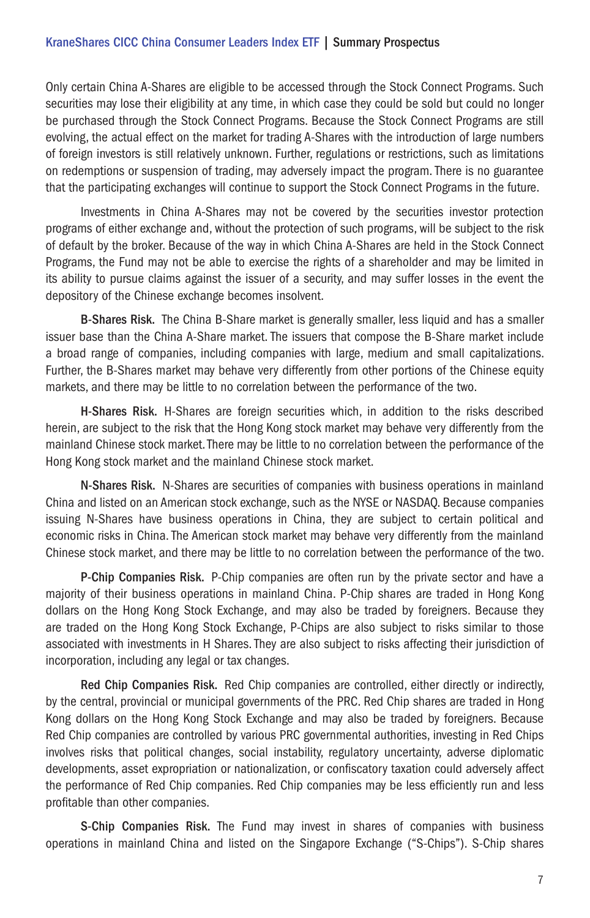#### KraneShares CICC China Consumer Leaders Index ETF | Summary Prospectus

Only certain China A-Shares are eligible to be accessed through the Stock Connect Programs. Such securities may lose their eligibility at any time, in which case they could be sold but could no longer be purchased through the Stock Connect Programs. Because the Stock Connect Programs are still evolving, the actual effect on the market for trading A-Shares with the introduction of large numbers of foreign investors is still relatively unknown. Further, regulations or restrictions, such as limitations on redemptions or suspension of trading, may adversely impact the program. There is no guarantee that the participating exchanges will continue to support the Stock Connect Programs in the future.

Investments in China A-Shares may not be covered by the securities investor protection programs of either exchange and, without the protection of such programs, will be subject to the risk of default by the broker. Because of the way in which China A-Shares are held in the Stock Connect Programs, the Fund may not be able to exercise the rights of a shareholder and may be limited in its ability to pursue claims against the issuer of a security, and may suffer losses in the event the depository of the Chinese exchange becomes insolvent.

B-Shares Risk. The China B-Share market is generally smaller, less liquid and has a smaller issuer base than the China A-Share market. The issuers that compose the B-Share market include a broad range of companies, including companies with large, medium and small capitalizations. Further, the B-Shares market may behave very differently from other portions of the Chinese equity markets, and there may be little to no correlation between the performance of the two.

H-Shares Risk. H-Shares are foreign securities which, in addition to the risks described herein, are subject to the risk that the Hong Kong stock market may behave very differently from the mainland Chinese stock market. There may be little to no correlation between the performance of the Hong Kong stock market and the mainland Chinese stock market.

N-Shares Risk. N-Shares are securities of companies with business operations in mainland China and listed on an American stock exchange, such as the NYSE or NASDAQ. Because companies issuing N-Shares have business operations in China, they are subject to certain political and economic risks in China. The American stock market may behave very differently from the mainland Chinese stock market, and there may be little to no correlation between the performance of the two.

P-Chip Companies Risk. P-Chip companies are often run by the private sector and have a majority of their business operations in mainland China. P-Chip shares are traded in Hong Kong dollars on the Hong Kong Stock Exchange, and may also be traded by foreigners. Because they are traded on the Hong Kong Stock Exchange, P-Chips are also subject to risks similar to those associated with investments in H Shares. They are also subject to risks affecting their jurisdiction of incorporation, including any legal or tax changes.

Red Chip Companies Risk. Red Chip companies are controlled, either directly or indirectly, by the central, provincial or municipal governments of the PRC. Red Chip shares are traded in Hong Kong dollars on the Hong Kong Stock Exchange and may also be traded by foreigners. Because Red Chip companies are controlled by various PRC governmental authorities, investing in Red Chips involves risks that political changes, social instability, regulatory uncertainty, adverse diplomatic developments, asset expropriation or nationalization, or confiscatory taxation could adversely affect the performance of Red Chip companies. Red Chip companies may be less efficiently run and less profitable than other companies.

S-Chip Companies Risk. The Fund may invest in shares of companies with business operations in mainland China and listed on the Singapore Exchange ("S-Chips"). S-Chip shares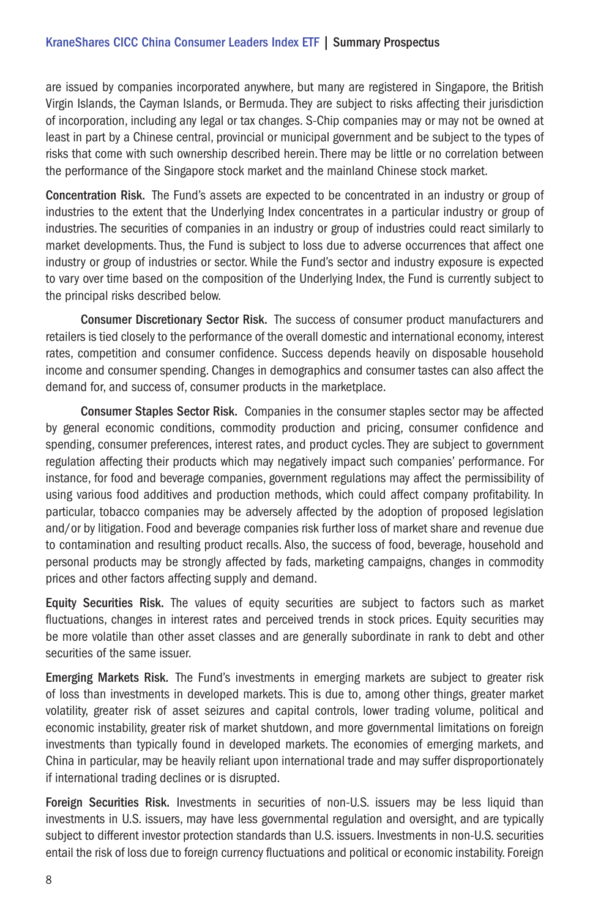are issued by companies incorporated anywhere, but many are registered in Singapore, the British Virgin Islands, the Cayman Islands, or Bermuda. They are subject to risks affecting their jurisdiction of incorporation, including any legal or tax changes. S-Chip companies may or may not be owned at least in part by a Chinese central, provincial or municipal government and be subject to the types of risks that come with such ownership described herein. There may be little or no correlation between the performance of the Singapore stock market and the mainland Chinese stock market.

Concentration Risk. The Fund's assets are expected to be concentrated in an industry or group of industries to the extent that the Underlying Index concentrates in a particular industry or group of industries. The securities of companies in an industry or group of industries could react similarly to market developments. Thus, the Fund is subject to loss due to adverse occurrences that affect one industry or group of industries or sector. While the Fund's sector and industry exposure is expected to vary over time based on the composition of the Underlying Index, the Fund is currently subject to the principal risks described below.

Consumer Discretionary Sector Risk. The success of consumer product manufacturers and retailers is tied closely to the performance of the overall domestic and international economy, interest rates, competition and consumer confidence. Success depends heavily on disposable household income and consumer spending. Changes in demographics and consumer tastes can also affect the demand for, and success of, consumer products in the marketplace.

Consumer Staples Sector Risk. Companies in the consumer staples sector may be affected by general economic conditions, commodity production and pricing, consumer confidence and spending, consumer preferences, interest rates, and product cycles. They are subject to government regulation affecting their products which may negatively impact such companies' performance. For instance, for food and beverage companies, government regulations may affect the permissibility of using various food additives and production methods, which could affect company profitability. In particular, tobacco companies may be adversely affected by the adoption of proposed legislation and/or by litigation. Food and beverage companies risk further loss of market share and revenue due to contamination and resulting product recalls. Also, the success of food, beverage, household and personal products may be strongly affected by fads, marketing campaigns, changes in commodity prices and other factors affecting supply and demand.

Equity Securities Risk. The values of equity securities are subject to factors such as market fluctuations, changes in interest rates and perceived trends in stock prices. Equity securities may be more volatile than other asset classes and are generally subordinate in rank to debt and other securities of the same issuer.

Emerging Markets Risk. The Fund's investments in emerging markets are subject to greater risk of loss than investments in developed markets. This is due to, among other things, greater market volatility, greater risk of asset seizures and capital controls, lower trading volume, political and economic instability, greater risk of market shutdown, and more governmental limitations on foreign investments than typically found in developed markets. The economies of emerging markets, and China in particular, may be heavily reliant upon international trade and may suffer disproportionately if international trading declines or is disrupted.

Foreign Securities Risk. Investments in securities of non-U.S. issuers may be less liquid than investments in U.S. issuers, may have less governmental regulation and oversight, and are typically subject to different investor protection standards than U.S. issuers. Investments in non-U.S. securities entail the risk of loss due to foreign currency fluctuations and political or economic instability. Foreign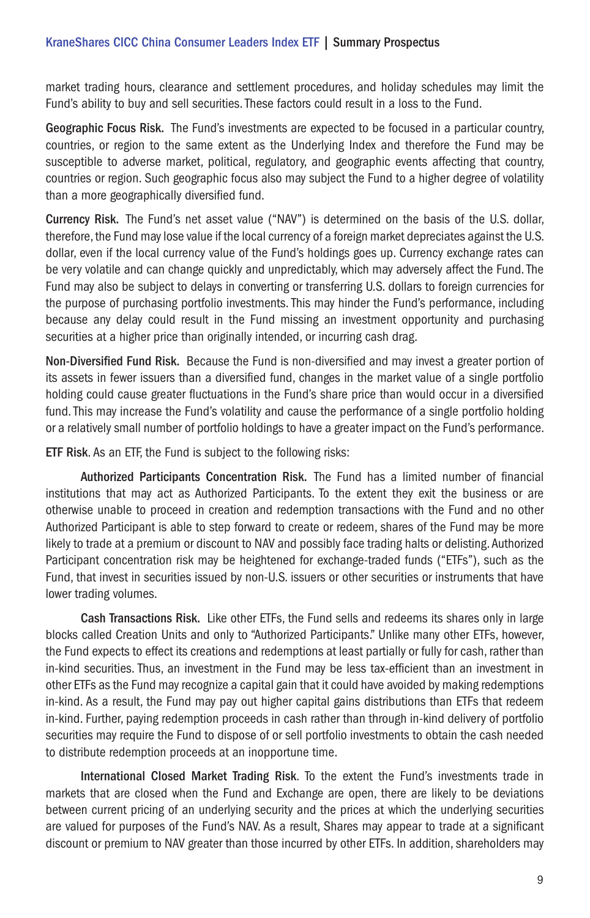market trading hours, clearance and settlement procedures, and holiday schedules may limit the Fund's ability to buy and sell securities. These factors could result in a loss to the Fund.

Geographic Focus Risk. The Fund's investments are expected to be focused in a particular country, countries, or region to the same extent as the Underlying Index and therefore the Fund may be susceptible to adverse market, political, regulatory, and geographic events affecting that country, countries or region. Such geographic focus also may subject the Fund to a higher degree of volatility than a more geographically diversified fund.

Currency Risk. The Fund's net asset value ("NAV") is determined on the basis of the U.S. dollar, therefore, the Fund may lose value if the local currency of a foreign market depreciates against the U.S. dollar, even if the local currency value of the Fund's holdings goes up. Currency exchange rates can be very volatile and can change quickly and unpredictably, which may adversely affect the Fund. The Fund may also be subject to delays in converting or transferring U.S. dollars to foreign currencies for the purpose of purchasing portfolio investments. This may hinder the Fund's performance, including because any delay could result in the Fund missing an investment opportunity and purchasing securities at a higher price than originally intended, or incurring cash drag.

Non-Diversified Fund Risk. Because the Fund is non-diversified and may invest a greater portion of its assets in fewer issuers than a diversified fund, changes in the market value of a single portfolio holding could cause greater fluctuations in the Fund's share price than would occur in a diversified fund. This may increase the Fund's volatility and cause the performance of a single portfolio holding or a relatively small number of portfolio holdings to have a greater impact on the Fund's performance.

ETF Risk. As an ETF, the Fund is subject to the following risks:

Authorized Participants Concentration Risk. The Fund has a limited number of financial institutions that may act as Authorized Participants. To the extent they exit the business or are otherwise unable to proceed in creation and redemption transactions with the Fund and no other Authorized Participant is able to step forward to create or redeem, shares of the Fund may be more likely to trade at a premium or discount to NAV and possibly face trading halts or delisting. Authorized Participant concentration risk may be heightened for exchange-traded funds ("ETFs"), such as the Fund, that invest in securities issued by non-U.S. issuers or other securities or instruments that have lower trading volumes.

Cash Transactions Risk. Like other ETFs, the Fund sells and redeems its shares only in large blocks called Creation Units and only to "Authorized Participants." Unlike many other ETFs, however, the Fund expects to effect its creations and redemptions at least partially or fully for cash, rather than in-kind securities. Thus, an investment in the Fund may be less tax-efficient than an investment in other ETFs as the Fund may recognize a capital gain that it could have avoided by making redemptions in-kind. As a result, the Fund may pay out higher capital gains distributions than ETFs that redeem in-kind. Further, paying redemption proceeds in cash rather than through in-kind delivery of portfolio securities may require the Fund to dispose of or sell portfolio investments to obtain the cash needed to distribute redemption proceeds at an inopportune time.

International Closed Market Trading Risk. To the extent the Fund's investments trade in markets that are closed when the Fund and Exchange are open, there are likely to be deviations between current pricing of an underlying security and the prices at which the underlying securities are valued for purposes of the Fund's NAV. As a result, Shares may appear to trade at a significant discount or premium to NAV greater than those incurred by other ETFs. In addition, shareholders may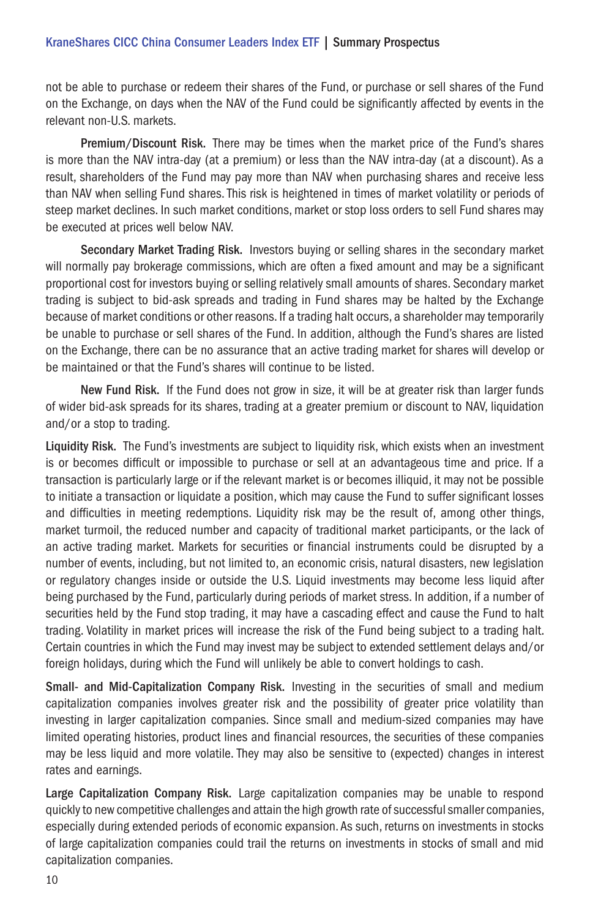# KraneShares CICC China Consumer Leaders Index ETF | Summary Prospectus

not be able to purchase or redeem their shares of the Fund, or purchase or sell shares of the Fund on the Exchange, on days when the NAV of the Fund could be significantly affected by events in the relevant non-U.S. markets.

Premium/Discount Risk. There may be times when the market price of the Fund's shares is more than the NAV intra-day (at a premium) or less than the NAV intra-day (at a discount). As a result, shareholders of the Fund may pay more than NAV when purchasing shares and receive less than NAV when selling Fund shares. This risk is heightened in times of market volatility or periods of steep market declines. In such market conditions, market or stop loss orders to sell Fund shares may be executed at prices well below NAV.

Secondary Market Trading Risk. Investors buying or selling shares in the secondary market will normally pay brokerage commissions, which are often a fixed amount and may be a significant proportional cost for investors buying or selling relatively small amounts of shares. Secondary market trading is subject to bid-ask spreads and trading in Fund shares may be halted by the Exchange because of market conditions or other reasons. If a trading halt occurs, a shareholder may temporarily be unable to purchase or sell shares of the Fund. In addition, although the Fund's shares are listed on the Exchange, there can be no assurance that an active trading market for shares will develop or be maintained or that the Fund's shares will continue to be listed.

New Fund Risk. If the Fund does not grow in size, it will be at greater risk than larger funds of wider bid-ask spreads for its shares, trading at a greater premium or discount to NAV, liquidation and/or a stop to trading.

Liquidity Risk. The Fund's investments are subject to liquidity risk, which exists when an investment is or becomes difficult or impossible to purchase or sell at an advantageous time and price. If a transaction is particularly large or if the relevant market is or becomes illiquid, it may not be possible to initiate a transaction or liquidate a position, which may cause the Fund to suffer significant losses and difficulties in meeting redemptions. Liquidity risk may be the result of, among other things, market turmoil, the reduced number and capacity of traditional market participants, or the lack of an active trading market. Markets for securities or financial instruments could be disrupted by a number of events, including, but not limited to, an economic crisis, natural disasters, new legislation or regulatory changes inside or outside the U.S. Liquid investments may become less liquid after being purchased by the Fund, particularly during periods of market stress. In addition, if a number of securities held by the Fund stop trading, it may have a cascading effect and cause the Fund to halt trading. Volatility in market prices will increase the risk of the Fund being subject to a trading halt. Certain countries in which the Fund may invest may be subject to extended settlement delays and/or foreign holidays, during which the Fund will unlikely be able to convert holdings to cash.

Small- and Mid-Capitalization Company Risk. Investing in the securities of small and medium capitalization companies involves greater risk and the possibility of greater price volatility than investing in larger capitalization companies. Since small and medium-sized companies may have limited operating histories, product lines and financial resources, the securities of these companies may be less liquid and more volatile. They may also be sensitive to (expected) changes in interest rates and earnings.

Large Capitalization Company Risk. Large capitalization companies may be unable to respond quickly to new competitive challenges and attain the high growth rate of successful smaller companies, especially during extended periods of economic expansion. As such, returns on investments in stocks of large capitalization companies could trail the returns on investments in stocks of small and mid capitalization companies.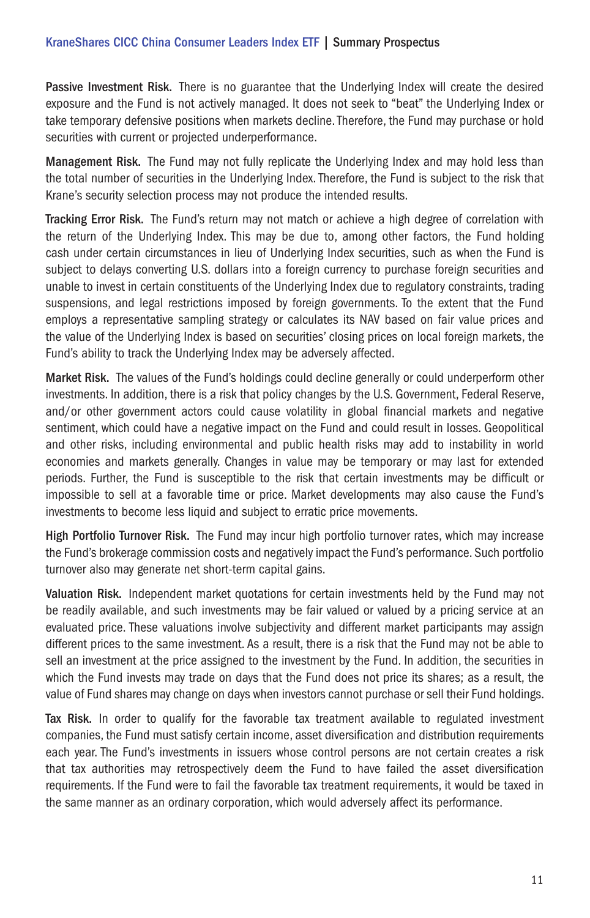Passive Investment Risk. There is no guarantee that the Underlying Index will create the desired exposure and the Fund is not actively managed. It does not seek to "beat" the Underlying Index or take temporary defensive positions when markets decline. Therefore, the Fund may purchase or hold securities with current or projected underperformance.

Management Risk. The Fund may not fully replicate the Underlying Index and may hold less than the total number of securities in the Underlying Index. Therefore, the Fund is subject to the risk that Krane's security selection process may not produce the intended results.

Tracking Error Risk. The Fund's return may not match or achieve a high degree of correlation with the return of the Underlying Index. This may be due to, among other factors, the Fund holding cash under certain circumstances in lieu of Underlying Index securities, such as when the Fund is subject to delays converting U.S. dollars into a foreign currency to purchase foreign securities and unable to invest in certain constituents of the Underlying Index due to regulatory constraints, trading suspensions, and legal restrictions imposed by foreign governments. To the extent that the Fund employs a representative sampling strategy or calculates its NAV based on fair value prices and the value of the Underlying Index is based on securities' closing prices on local foreign markets, the Fund's ability to track the Underlying Index may be adversely affected.

Market Risk. The values of the Fund's holdings could decline generally or could underperform other investments. In addition, there is a risk that policy changes by the U.S. Government, Federal Reserve, and/or other government actors could cause volatility in global financial markets and negative sentiment, which could have a negative impact on the Fund and could result in losses. Geopolitical and other risks, including environmental and public health risks may add to instability in world economies and markets generally. Changes in value may be temporary or may last for extended periods. Further, the Fund is susceptible to the risk that certain investments may be difficult or impossible to sell at a favorable time or price. Market developments may also cause the Fund's investments to become less liquid and subject to erratic price movements.

High Portfolio Turnover Risk. The Fund may incur high portfolio turnover rates, which may increase the Fund's brokerage commission costs and negatively impact the Fund's performance. Such portfolio turnover also may generate net short-term capital gains.

Valuation Risk. Independent market quotations for certain investments held by the Fund may not be readily available, and such investments may be fair valued or valued by a pricing service at an evaluated price. These valuations involve subjectivity and different market participants may assign different prices to the same investment. As a result, there is a risk that the Fund may not be able to sell an investment at the price assigned to the investment by the Fund. In addition, the securities in which the Fund invests may trade on days that the Fund does not price its shares; as a result, the value of Fund shares may change on days when investors cannot purchase or sell their Fund holdings.

Tax Risk. In order to qualify for the favorable tax treatment available to regulated investment companies, the Fund must satisfy certain income, asset diversification and distribution requirements each year. The Fund's investments in issuers whose control persons are not certain creates a risk that tax authorities may retrospectively deem the Fund to have failed the asset diversification requirements. If the Fund were to fail the favorable tax treatment requirements, it would be taxed in the same manner as an ordinary corporation, which would adversely affect its performance.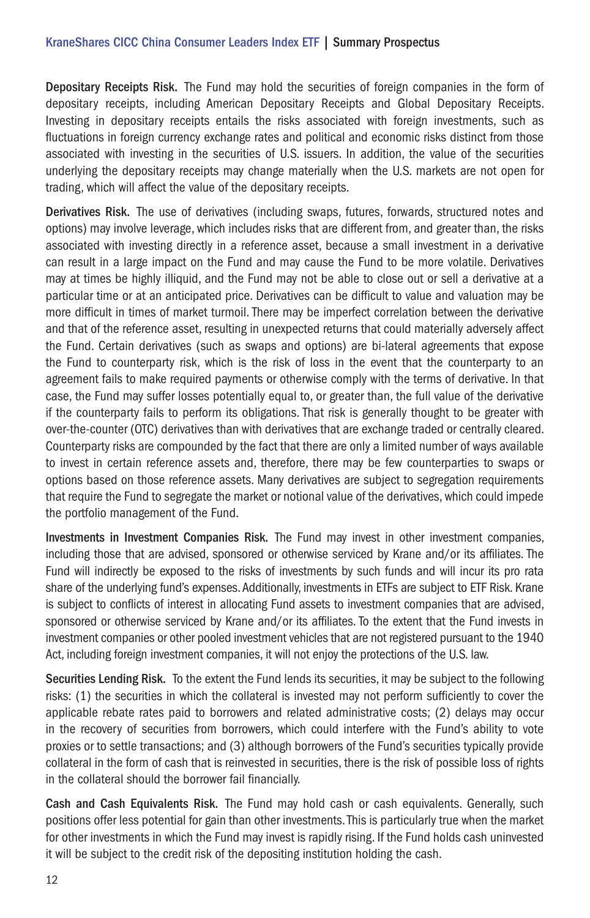Depositary Receipts Risk. The Fund may hold the securities of foreign companies in the form of depositary receipts, including American Depositary Receipts and Global Depositary Receipts. Investing in depositary receipts entails the risks associated with foreign investments, such as fluctuations in foreign currency exchange rates and political and economic risks distinct from those associated with investing in the securities of U.S. issuers. In addition, the value of the securities underlying the depositary receipts may change materially when the U.S. markets are not open for trading, which will affect the value of the depositary receipts.

Derivatives Risk. The use of derivatives (including swaps, futures, forwards, structured notes and options) may involve leverage, which includes risks that are different from, and greater than, the risks associated with investing directly in a reference asset, because a small investment in a derivative can result in a large impact on the Fund and may cause the Fund to be more volatile. Derivatives may at times be highly illiquid, and the Fund may not be able to close out or sell a derivative at a particular time or at an anticipated price. Derivatives can be difficult to value and valuation may be more difficult in times of market turmoil. There may be imperfect correlation between the derivative and that of the reference asset, resulting in unexpected returns that could materially adversely affect the Fund. Certain derivatives (such as swaps and options) are bi-lateral agreements that expose the Fund to counterparty risk, which is the risk of loss in the event that the counterparty to an agreement fails to make required payments or otherwise comply with the terms of derivative. In that case, the Fund may suffer losses potentially equal to, or greater than, the full value of the derivative if the counterparty fails to perform its obligations. That risk is generally thought to be greater with over-the-counter (OTC) derivatives than with derivatives that are exchange traded or centrally cleared. Counterparty risks are compounded by the fact that there are only a limited number of ways available to invest in certain reference assets and, therefore, there may be few counterparties to swaps or options based on those reference assets. Many derivatives are subject to segregation requirements that require the Fund to segregate the market or notional value of the derivatives, which could impede the portfolio management of the Fund.

Investments in Investment Companies Risk. The Fund may invest in other investment companies, including those that are advised, sponsored or otherwise serviced by Krane and/or its affiliates. The Fund will indirectly be exposed to the risks of investments by such funds and will incur its pro rata share of the underlying fund's expenses. Additionally, investments in ETFs are subject to ETF Risk. Krane is subject to conflicts of interest in allocating Fund assets to investment companies that are advised, sponsored or otherwise serviced by Krane and/or its affiliates. To the extent that the Fund invests in investment companies or other pooled investment vehicles that are not registered pursuant to the 1940 Act, including foreign investment companies, it will not enjoy the protections of the U.S. law.

Securities Lending Risk. To the extent the Fund lends its securities, it may be subject to the following risks: (1) the securities in which the collateral is invested may not perform sufficiently to cover the applicable rebate rates paid to borrowers and related administrative costs; (2) delays may occur in the recovery of securities from borrowers, which could interfere with the Fund's ability to vote proxies or to settle transactions; and (3) although borrowers of the Fund's securities typically provide collateral in the form of cash that is reinvested in securities, there is the risk of possible loss of rights in the collateral should the borrower fail financially.

Cash and Cash Equivalents Risk. The Fund may hold cash or cash equivalents. Generally, such positions offer less potential for gain than other investments. This is particularly true when the market for other investments in which the Fund may invest is rapidly rising. If the Fund holds cash uninvested it will be subject to the credit risk of the depositing institution holding the cash.